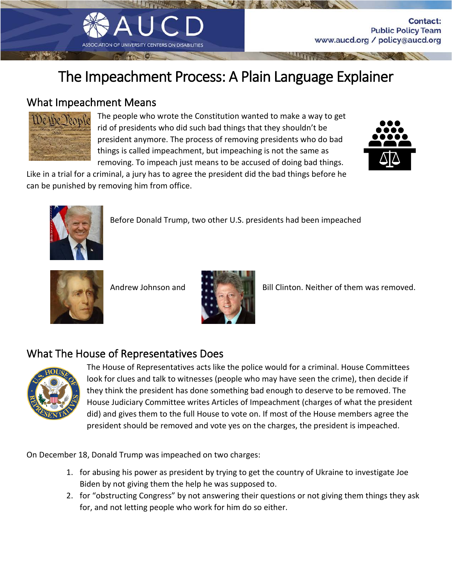## The Impeachment Process: A Plain Language Explainer

Į

## What Impeachment Means



The people who wrote the Constitution wanted to make a way to get rid of presidents who did such bad things that they shouldn't be president anymore. The process of removing presidents who do bad things is called impeachment, but impeaching is not the same as removing. To impeach just means to be accused of doing bad things.



**Contact:** 

**Public Policy Team** 

www.aucd.org / policy@aucd.org

Like in a trial for a criminal, a jury has to agree the president did the bad things before he





Before Donald Trump, two other U.S. presidents had been impeached





Andrew Johnson and **Bill Clinton.** Neither of them was removed.

## What The House of Representatives Does



The House of Representatives acts like the police would for a criminal. House Committees look for clues and talk to witnesses (people who may have seen the crime), then decide if they think the president has done something bad enough to deserve to be removed. The House Judiciary Committee writes Articles of Impeachment (charges of what the president did) and gives them to the full House to vote on. If most of the House members agree the president should be removed and vote yes on the charges, the president is impeached.

On December 18, Donald Trump was impeached on two charges:

- 1. for abusing his power as president by trying to get the country of Ukraine to investigate Joe Biden by not giving them the help he was supposed to.
- 2. for "obstructing Congress" by not answering their questions or not giving them things they ask for, and not letting people who work for him do so either.